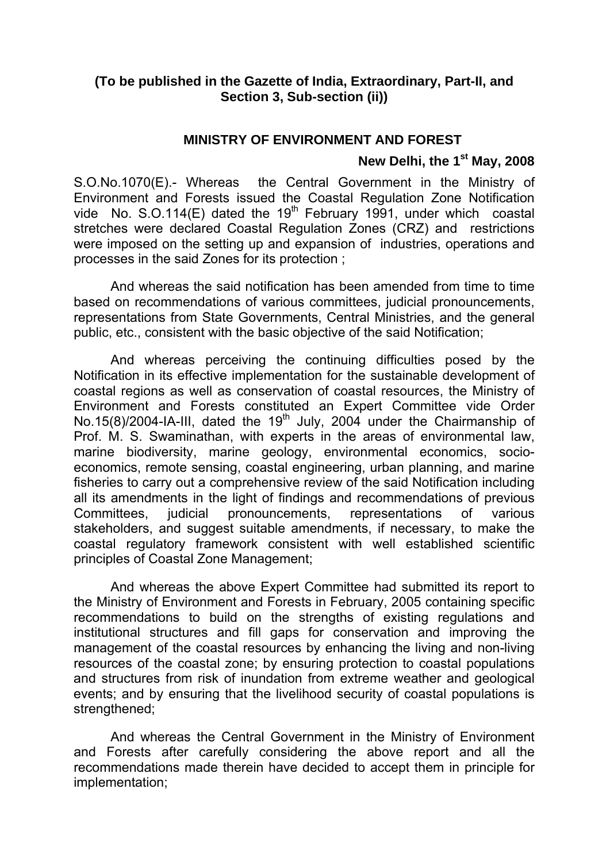### **(To be published in the Gazette of India, Extraordinary, Part-II, and Section 3, Sub-section (ii))**

### **MINISTRY OF ENVIRONMENT AND FOREST**

# New Delhi, the 1<sup>st</sup> May, 2008

S.O.No.1070(E).- Whereas the Central Government in the Ministry of Environment and Forests issued the Coastal Regulation Zone Notification vide No. S.O.114(E) dated the  $19<sup>th</sup>$  February 1991, under which coastal stretches were declared Coastal Regulation Zones (CRZ) and restrictions were imposed on the setting up and expansion of industries, operations and processes in the said Zones for its protection ;

 And whereas the said notification has been amended from time to time based on recommendations of various committees, judicial pronouncements, representations from State Governments, Central Ministries, and the general public, etc., consistent with the basic objective of the said Notification;

 And whereas perceiving the continuing difficulties posed by the Notification in its effective implementation for the sustainable development of coastal regions as well as conservation of coastal resources, the Ministry of Environment and Forests constituted an Expert Committee vide Order No.15(8)/2004-IA-III, dated the 19<sup>th</sup> July, 2004 under the Chairmanship of Prof. M. S. Swaminathan, with experts in the areas of environmental law, marine biodiversity, marine geology, environmental economics, socioeconomics, remote sensing, coastal engineering, urban planning, and marine fisheries to carry out a comprehensive review of the said Notification including all its amendments in the light of findings and recommendations of previous Committees, judicial pronouncements, representations of various stakeholders, and suggest suitable amendments, if necessary, to make the coastal regulatory framework consistent with well established scientific principles of Coastal Zone Management;

 And whereas the above Expert Committee had submitted its report to the Ministry of Environment and Forests in February, 2005 containing specific recommendations to build on the strengths of existing regulations and institutional structures and fill gaps for conservation and improving the management of the coastal resources by enhancing the living and non-living resources of the coastal zone; by ensuring protection to coastal populations and structures from risk of inundation from extreme weather and geological events; and by ensuring that the livelihood security of coastal populations is strengthened;

 And whereas the Central Government in the Ministry of Environment and Forests after carefully considering the above report and all the recommendations made therein have decided to accept them in principle for implementation;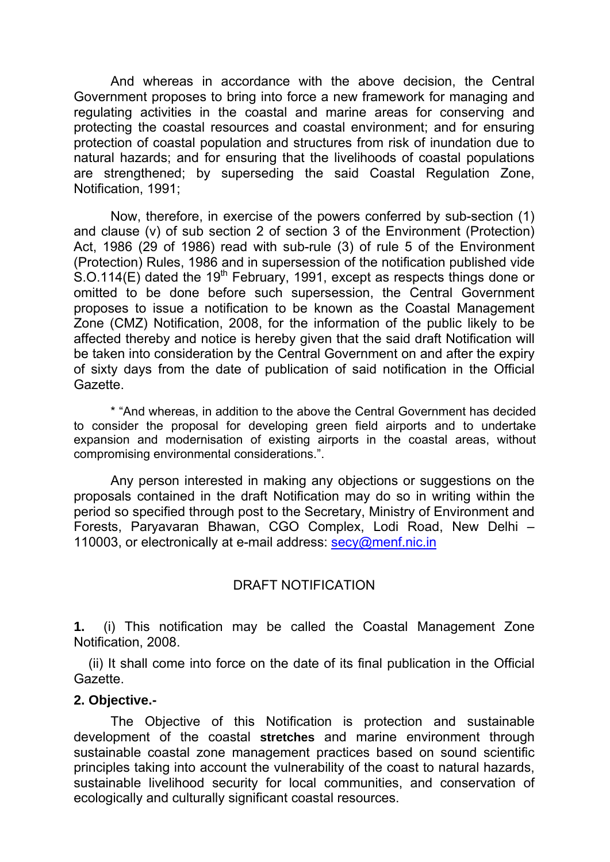And whereas in accordance with the above decision, the Central Government proposes to bring into force a new framework for managing and regulating activities in the coastal and marine areas for conserving and protecting the coastal resources and coastal environment; and for ensuring protection of coastal population and structures from risk of inundation due to natural hazards; and for ensuring that the livelihoods of coastal populations are strengthened; by superseding the said Coastal Regulation Zone, Notification, 1991;

 Now, therefore, in exercise of the powers conferred by sub-section (1) and clause (v) of sub section 2 of section 3 of the Environment (Protection) Act, 1986 (29 of 1986) read with sub-rule (3) of rule 5 of the Environment (Protection) Rules, 1986 and in supersession of the notification published vide  $S.$ O.114(E) dated the 19<sup>th</sup> February, 1991, except as respects things done or omitted to be done before such supersession, the Central Government proposes to issue a notification to be known as the Coastal Management Zone (CMZ) Notification, 2008, for the information of the public likely to be affected thereby and notice is hereby given that the said draft Notification will be taken into consideration by the Central Government on and after the expiry of sixty days from the date of publication of said notification in the Official Gazette.

\* "And whereas, in addition to the above the Central Government has decided to consider the proposal for developing green field airports and to undertake expansion and modernisation of existing airports in the coastal areas, without compromising environmental considerations.".

 Any person interested in making any objections or suggestions on the proposals contained in the draft Notification may do so in writing within the period so specified through post to the Secretary, Ministry of Environment and Forests, Paryavaran Bhawan, CGO Complex, Lodi Road, New Delhi – 110003, or electronically at e-mail address: secy@menf.nic.in

### DRAFT NOTIFICATION

**1.** (i) This notification may be called the Coastal Management Zone Notification, 2008.

 (ii) It shall come into force on the date of its final publication in the Official Gazette.

### **2. Objective.-**

 The Objective of this Notification is protection and sustainable development of the coastal **stretches** and marine environment through sustainable coastal zone management practices based on sound scientific principles taking into account the vulnerability of the coast to natural hazards, sustainable livelihood security for local communities, and conservation of ecologically and culturally significant coastal resources.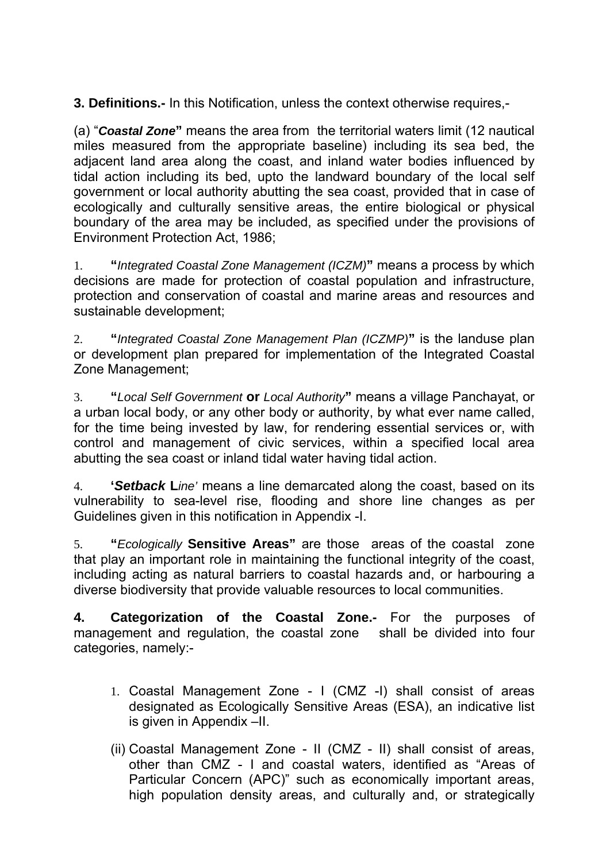**3. Definitions.-** In this Notification, unless the context otherwise requires,-

(a) "*Coastal Zone***"** means the area from the territorial waters limit (12 nautical miles measured from the appropriate baseline) including its sea bed, the adjacent land area along the coast, and inland water bodies influenced by tidal action including its bed, upto the landward boundary of the local self government or local authority abutting the sea coast, provided that in case of ecologically and culturally sensitive areas, the entire biological or physical boundary of the area may be included, as specified under the provisions of Environment Protection Act, 1986;

1. **"***Integrated Coastal Zone Management (ICZM)***"** means a process by which decisions are made for protection of coastal population and infrastructure, protection and conservation of coastal and marine areas and resources and sustainable development;

2. **"***Integrated Coastal Zone Management Plan (ICZMP)***"** is the landuse plan or development plan prepared for implementation of the Integrated Coastal Zone Management;

3. **"***Local Self Government* **or** *Local Authority***"** means a village Panchayat, or a urban local body, or any other body or authority, by what ever name called, for the time being invested by law, for rendering essential services or, with control and management of civic services, within a specified local area abutting the sea coast or inland tidal water having tidal action.

4. **'***Setback* **L***ine'* means a line demarcated along the coast, based on its vulnerability to sea-level rise, flooding and shore line changes as per Guidelines given in this notification in Appendix -I.

5. **"***Ecologically* **Sensitive Areas"** are those areas of the coastal zone that play an important role in maintaining the functional integrity of the coast, including acting as natural barriers to coastal hazards and, or harbouring a diverse biodiversity that provide valuable resources to local communities.

**4. Categorization of the Coastal Zone.-** For the purposes of management and regulation, the coastal zone shall be divided into four categories, namely:-

- 1. Coastal Management Zone I (CMZ -I) shall consist of areas designated as Ecologically Sensitive Areas (ESA), an indicative list is given in Appendix –II.
- (ii) Coastal Management Zone II (CMZ II) shall consist of areas, other than CMZ - I and coastal waters, identified as "Areas of Particular Concern (APC)" such as economically important areas, high population density areas, and culturally and, or strategically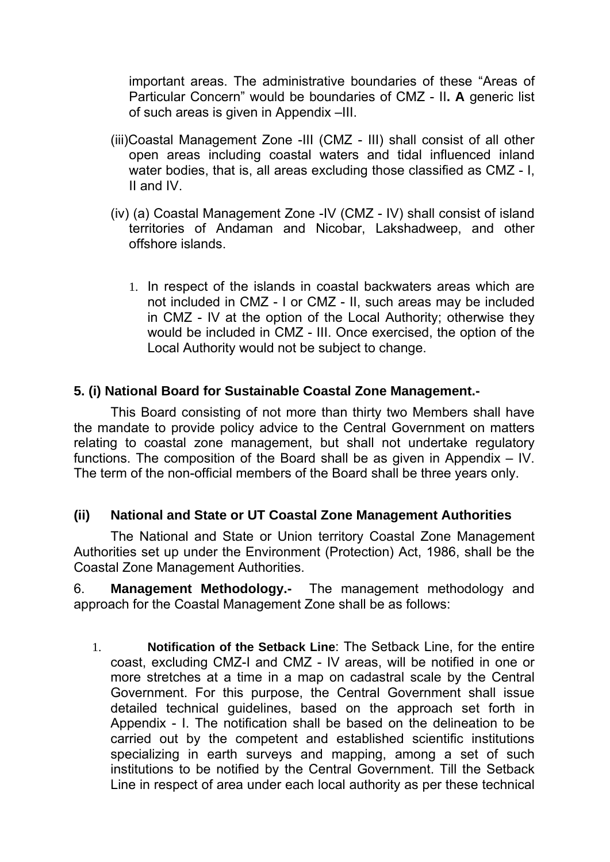important areas. The administrative boundaries of these "Areas of Particular Concern" would be boundaries of CMZ - II**. A** generic list of such areas is given in Appendix –III.

- (iii)Coastal Management Zone -III (CMZ III) shall consist of all other open areas including coastal waters and tidal influenced inland water bodies, that is, all areas excluding those classified as CMZ - I, II and IV.
- (iv) (a) Coastal Management Zone -IV (CMZ IV) shall consist of island territories of Andaman and Nicobar, Lakshadweep, and other offshore islands.
	- 1. In respect of the islands in coastal backwaters areas which are not included in CMZ - I or CMZ - II, such areas may be included in CMZ - IV at the option of the Local Authority; otherwise they would be included in CMZ - III. Once exercised, the option of the Local Authority would not be subject to change.

## **5. (i) National Board for Sustainable Coastal Zone Management.-**

 This Board consisting of not more than thirty two Members shall have the mandate to provide policy advice to the Central Government on matters relating to coastal zone management, but shall not undertake regulatory functions. The composition of the Board shall be as given in Appendix  $-$  IV. The term of the non-official members of the Board shall be three years only.

### **(ii) National and State or UT Coastal Zone Management Authorities**

 The National and State or Union territory Coastal Zone Management Authorities set up under the Environment (Protection) Act, 1986, shall be the Coastal Zone Management Authorities.

6. **Management Methodology.-** The management methodology and approach for the Coastal Management Zone shall be as follows:

1. **Notification of the Setback Line**: The Setback Line, for the entire coast, excluding CMZ-I and CMZ - IV areas, will be notified in one or more stretches at a time in a map on cadastral scale by the Central Government. For this purpose, the Central Government shall issue detailed technical guidelines, based on the approach set forth in Appendix - I. The notification shall be based on the delineation to be carried out by the competent and established scientific institutions specializing in earth surveys and mapping, among a set of such institutions to be notified by the Central Government. Till the Setback Line in respect of area under each local authority as per these technical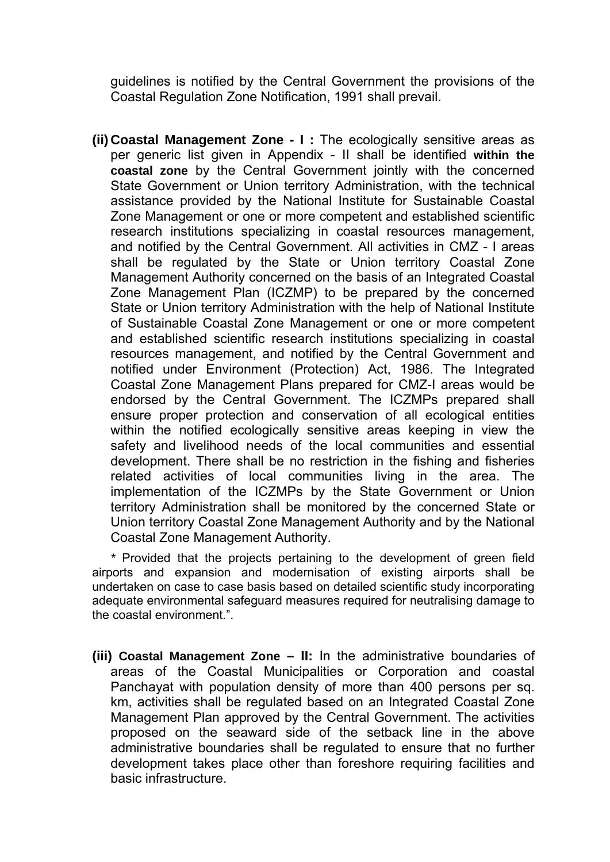guidelines is notified by the Central Government the provisions of the Coastal Regulation Zone Notification, 1991 shall prevail.

**(ii) Coastal Management Zone - I :** The ecologically sensitive areas as per generic list given in Appendix - II shall be identified **within the coastal zone** by the Central Government jointly with the concerned State Government or Union territory Administration, with the technical assistance provided by the National Institute for Sustainable Coastal Zone Management or one or more competent and established scientific research institutions specializing in coastal resources management, and notified by the Central Government. All activities in CMZ - I areas shall be regulated by the State or Union territory Coastal Zone Management Authority concerned on the basis of an Integrated Coastal Zone Management Plan (ICZMP) to be prepared by the concerned State or Union territory Administration with the help of National Institute of Sustainable Coastal Zone Management or one or more competent and established scientific research institutions specializing in coastal resources management, and notified by the Central Government and notified under Environment (Protection) Act, 1986. The Integrated Coastal Zone Management Plans prepared for CMZ-I areas would be endorsed by the Central Government. The ICZMPs prepared shall ensure proper protection and conservation of all ecological entities within the notified ecologically sensitive areas keeping in view the safety and livelihood needs of the local communities and essential development. There shall be no restriction in the fishing and fisheries related activities of local communities living in the area. The implementation of the ICZMPs by the State Government or Union territory Administration shall be monitored by the concerned State or Union territory Coastal Zone Management Authority and by the National Coastal Zone Management Authority.

*\** Provided that the projects pertaining to the development of green field airports and expansion and modernisation of existing airports shall be undertaken on case to case basis based on detailed scientific study incorporating adequate environmental safeguard measures required for neutralising damage to the coastal environment.".

**(iii) Coastal Management Zone – II:** In the administrative boundaries of areas of the Coastal Municipalities or Corporation and coastal Panchayat with population density of more than 400 persons per sq. km, activities shall be regulated based on an Integrated Coastal Zone Management Plan approved by the Central Government. The activities proposed on the seaward side of the setback line in the above administrative boundaries shall be regulated to ensure that no further development takes place other than foreshore requiring facilities and basic infrastructure.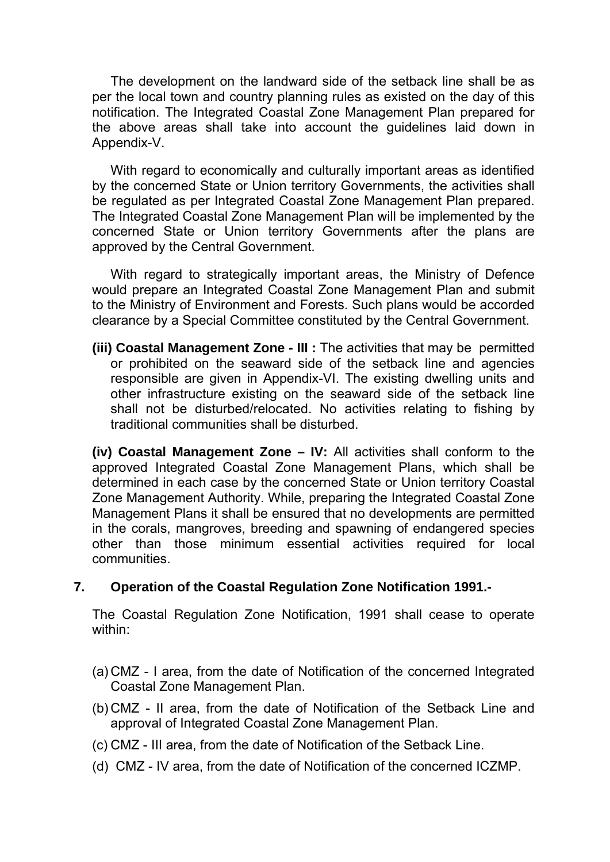The development on the landward side of the setback line shall be as per the local town and country planning rules as existed on the day of this notification. The Integrated Coastal Zone Management Plan prepared for the above areas shall take into account the guidelines laid down in Appendix-V.

 With regard to economically and culturally important areas as identified by the concerned State or Union territory Governments, the activities shall be regulated as per Integrated Coastal Zone Management Plan prepared. The Integrated Coastal Zone Management Plan will be implemented by the concerned State or Union territory Governments after the plans are approved by the Central Government.

 With regard to strategically important areas, the Ministry of Defence would prepare an Integrated Coastal Zone Management Plan and submit to the Ministry of Environment and Forests. Such plans would be accorded clearance by a Special Committee constituted by the Central Government.

**(iii) Coastal Management Zone - III :** The activities that may be permitted or prohibited on the seaward side of the setback line and agencies responsible are given in Appendix-VI. The existing dwelling units and other infrastructure existing on the seaward side of the setback line shall not be disturbed/relocated. No activities relating to fishing by traditional communities shall be disturbed.

**(iv) Coastal Management Zone – IV:** All activities shall conform to the approved Integrated Coastal Zone Management Plans, which shall be determined in each case by the concerned State or Union territory Coastal Zone Management Authority. While, preparing the Integrated Coastal Zone Management Plans it shall be ensured that no developments are permitted in the corals, mangroves, breeding and spawning of endangered species other than those minimum essential activities required for local communities.

### **7. Operation of the Coastal Regulation Zone Notification 1991.-**

The Coastal Regulation Zone Notification, 1991 shall cease to operate within:

- (a) CMZ I area, from the date of Notification of the concerned Integrated Coastal Zone Management Plan.
- (b) CMZ II area, from the date of Notification of the Setback Line and approval of Integrated Coastal Zone Management Plan.
- (c) CMZ III area, from the date of Notification of the Setback Line.
- (d) CMZ IV area, from the date of Notification of the concerned ICZMP.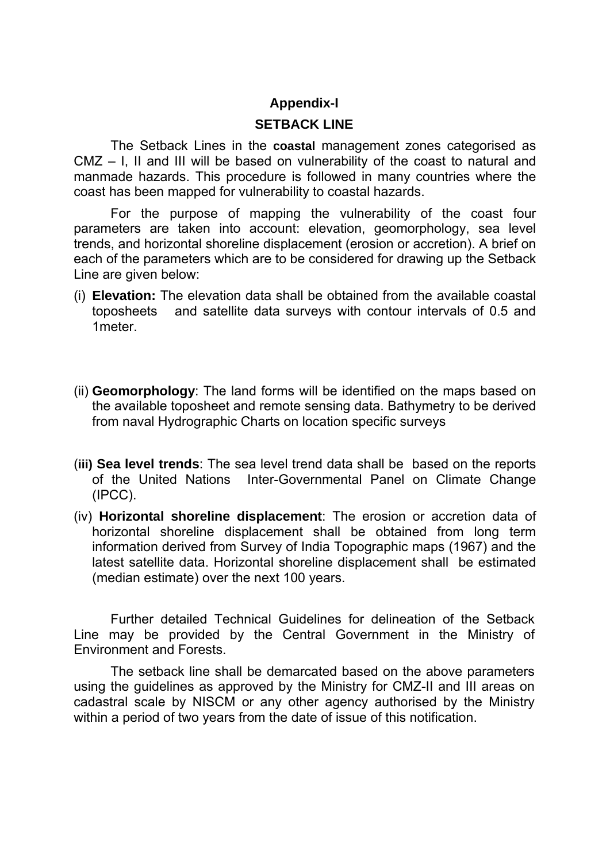### **Appendix-I**

### **SETBACK LINE**

The Setback Lines in the **coastal** management zones categorised as CMZ – I, II and III will be based on vulnerability of the coast to natural and manmade hazards. This procedure is followed in many countries where the coast has been mapped for vulnerability to coastal hazards.

For the purpose of mapping the vulnerability of the coast four parameters are taken into account: elevation, geomorphology, sea level trends, and horizontal shoreline displacement (erosion or accretion). A brief on each of the parameters which are to be considered for drawing up the Setback Line are given below:

- (i) **Elevation:** The elevation data shall be obtained from the available coastal toposheets and satellite data surveys with contour intervals of 0.5 and 1meter.
- (ii) **Geomorphology**: The land forms will be identified on the maps based on the available toposheet and remote sensing data. Bathymetry to be derived from naval Hydrographic Charts on location specific surveys
- (**iii) Sea level trends**: The sea level trend data shall be based on the reports of the United Nations Inter-Governmental Panel on Climate Change (IPCC).
- (iv) **Horizontal shoreline displacement**: The erosion or accretion data of horizontal shoreline displacement shall be obtained from long term information derived from Survey of India Topographic maps (1967) and the latest satellite data. Horizontal shoreline displacement shall be estimated (median estimate) over the next 100 years.

 Further detailed Technical Guidelines for delineation of the Setback Line may be provided by the Central Government in the Ministry of Environment and Forests.

 The setback line shall be demarcated based on the above parameters using the guidelines as approved by the Ministry for CMZ-II and III areas on cadastral scale by NISCM or any other agency authorised by the Ministry within a period of two years from the date of issue of this notification.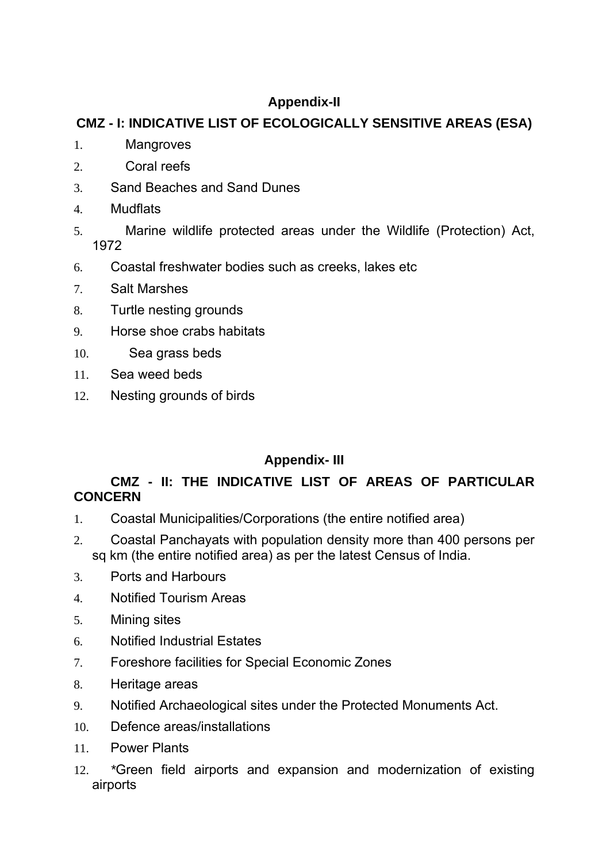# **Appendix-II**

# **CMZ - I: INDICATIVE LIST OF ECOLOGICALLY SENSITIVE AREAS (ESA)**

- 1. Mangroves
- 2. Coral reefs
- 3. Sand Beaches and Sand Dunes
- 4. Mudflats
- 5. Marine wildlife protected areas under the Wildlife (Protection) Act, 1972
- 6. Coastal freshwater bodies such as creeks, lakes etc
- 7. Salt Marshes
- 8. Turtle nesting grounds
- 9. Horse shoe crabs habitats
- 10. Sea grass beds
- 11. Sea weed beds
- 12. Nesting grounds of birds

# **Appendix- III**

## **CMZ - II: THE INDICATIVE LIST OF AREAS OF PARTICULAR CONCERN**

- 1. Coastal Municipalities/Corporations (the entire notified area)
- 2. Coastal Panchayats with population density more than 400 persons per sq km (the entire notified area) as per the latest Census of India.
- 3. Ports and Harbours
- 4. Notified Tourism Areas
- 5. Mining sites
- 6. Notified Industrial Estates
- 7. Foreshore facilities for Special Economic Zones
- 8. Heritage areas
- 9. Notified Archaeological sites under the Protected Monuments Act.
- 10. Defence areas/installations
- 11. Power Plants
- 12. *\**Green field airports and expansion and modernization of existing airports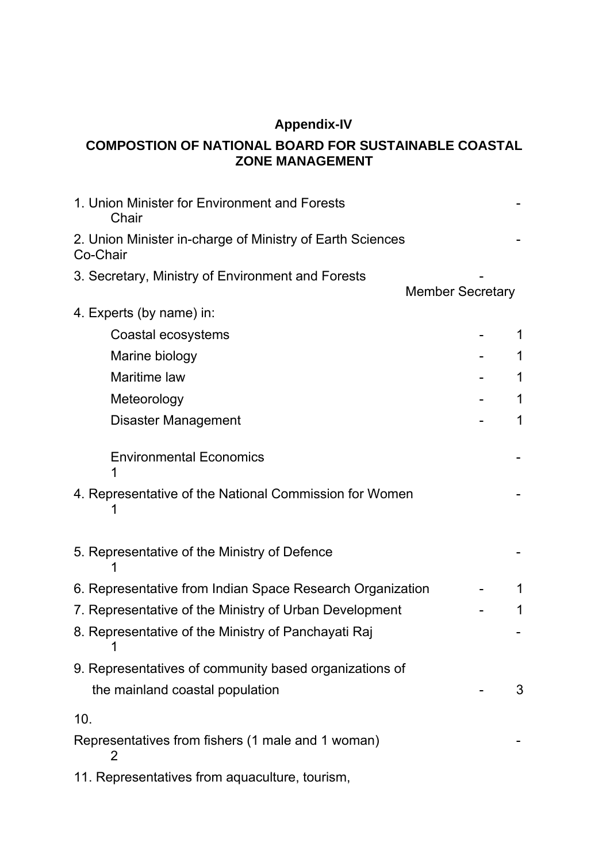# **Appendix-IV**

## **COMPOSTION OF NATIONAL BOARD FOR SUSTAINABLE COASTAL ZONE MANAGEMENT**

| 1. Union Minister for Environment and Forests<br>Chair                |                         |   |
|-----------------------------------------------------------------------|-------------------------|---|
| 2. Union Minister in-charge of Ministry of Earth Sciences<br>Co-Chair |                         |   |
| 3. Secretary, Ministry of Environment and Forests                     |                         |   |
|                                                                       | <b>Member Secretary</b> |   |
| 4. Experts (by name) in:                                              |                         |   |
| Coastal ecosystems                                                    |                         |   |
| Marine biology                                                        |                         | 1 |
| Maritime law                                                          |                         | 1 |
| Meteorology                                                           |                         | 1 |
| <b>Disaster Management</b>                                            |                         | 1 |
| <b>Environmental Economics</b>                                        |                         |   |
| 4. Representative of the National Commission for Women                |                         |   |
| 5. Representative of the Ministry of Defence                          |                         |   |
| 6. Representative from Indian Space Research Organization             |                         | 1 |
| 7. Representative of the Ministry of Urban Development                |                         | 1 |
| 8. Representative of the Ministry of Panchayati Raj                   |                         |   |
| 9. Representatives of community based organizations of                |                         |   |
| the mainland coastal population                                       |                         | 3 |
| 10.                                                                   |                         |   |
| Representatives from fishers (1 male and 1 woman)<br>2                |                         |   |
| 11. Representatives from aquaculture, tourism,                        |                         |   |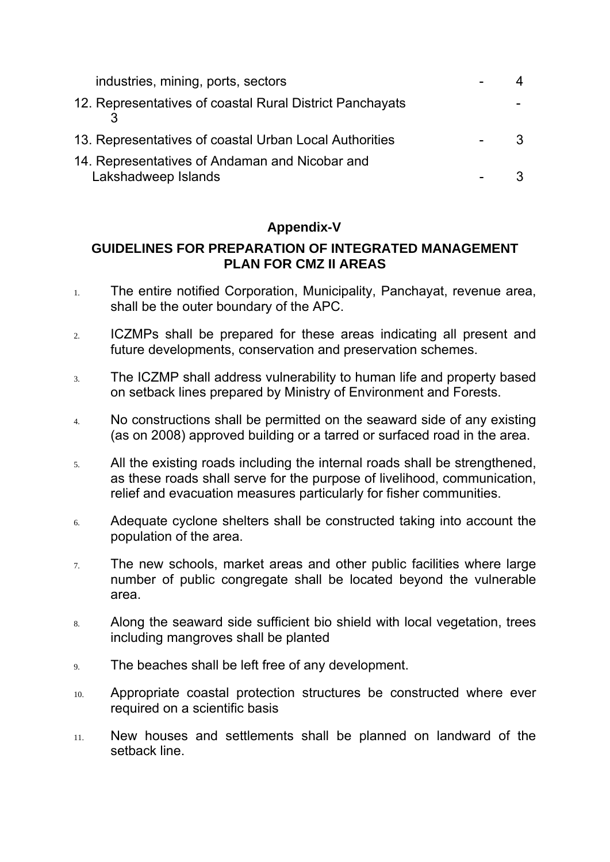| industries, mining, ports, sectors                                    |  |
|-----------------------------------------------------------------------|--|
| 12. Representatives of coastal Rural District Panchayats              |  |
| 13. Representatives of coastal Urban Local Authorities                |  |
| 14. Representatives of Andaman and Nicobar and<br>Lakshadweep Islands |  |

## **Appendix-V**

## **GUIDELINES FOR PREPARATION OF INTEGRATED MANAGEMENT PLAN FOR CMZ II AREAS**

- 1. The entire notified Corporation, Municipality, Panchayat, revenue area, shall be the outer boundary of the APC.
- 2. ICZMPs shall be prepared for these areas indicating all present and future developments, conservation and preservation schemes.
- 3. The ICZMP shall address vulnerability to human life and property based on setback lines prepared by Ministry of Environment and Forests.
- 4. No constructions shall be permitted on the seaward side of any existing (as on 2008) approved building or a tarred or surfaced road in the area.
- 5. All the existing roads including the internal roads shall be strengthened, as these roads shall serve for the purpose of livelihood, communication, relief and evacuation measures particularly for fisher communities.
- 6. Adequate cyclone shelters shall be constructed taking into account the population of the area.
- $7.$  The new schools, market areas and other public facilities where large number of public congregate shall be located beyond the vulnerable area.
- 8. Along the seaward side sufficient bio shield with local vegetation, trees including mangroves shall be planted
- 9. The beaches shall be left free of any development.
- 10. Appropriate coastal protection structures be constructed where ever required on a scientific basis
- 11. New houses and settlements shall be planned on landward of the setback line.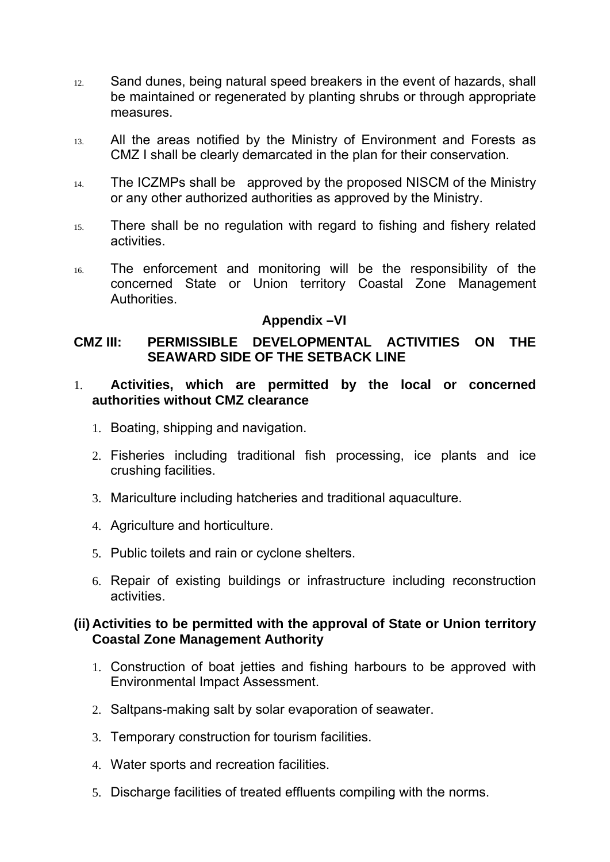- 12. Sand dunes, being natural speed breakers in the event of hazards, shall be maintained or regenerated by planting shrubs or through appropriate measures.
- 13. All the areas notified by the Ministry of Environment and Forests as CMZ I shall be clearly demarcated in the plan for their conservation.
- 14. The ICZMPs shall be approved by the proposed NISCM of the Ministry or any other authorized authorities as approved by the Ministry.
- 15. There shall be no regulation with regard to fishing and fishery related activities.
- 16. The enforcement and monitoring will be the responsibility of the concerned State or Union territory Coastal Zone Management Authorities.

### **Appendix –VI**

### **CMZ III: PERMISSIBLE DEVELOPMENTAL ACTIVITIES ON THE SEAWARD SIDE OF THE SETBACK LINE**

### 1. **Activities, which are permitted by the local or concerned authorities without CMZ clearance**

- 1. Boating, shipping and navigation.
- 2. Fisheries including traditional fish processing, ice plants and ice crushing facilities.
- 3. Mariculture including hatcheries and traditional aquaculture.
- 4. Agriculture and horticulture.
- 5. Public toilets and rain or cyclone shelters.
- 6. Repair of existing buildings or infrastructure including reconstruction activities.

### **(ii) Activities to be permitted with the approval of State or Union territory Coastal Zone Management Authority**

- 1. Construction of boat jetties and fishing harbours to be approved with Environmental Impact Assessment.
- 2. Saltpans-making salt by solar evaporation of seawater.
- 3. Temporary construction for tourism facilities.
- 4. Water sports and recreation facilities.
- 5. Discharge facilities of treated effluents compiling with the norms.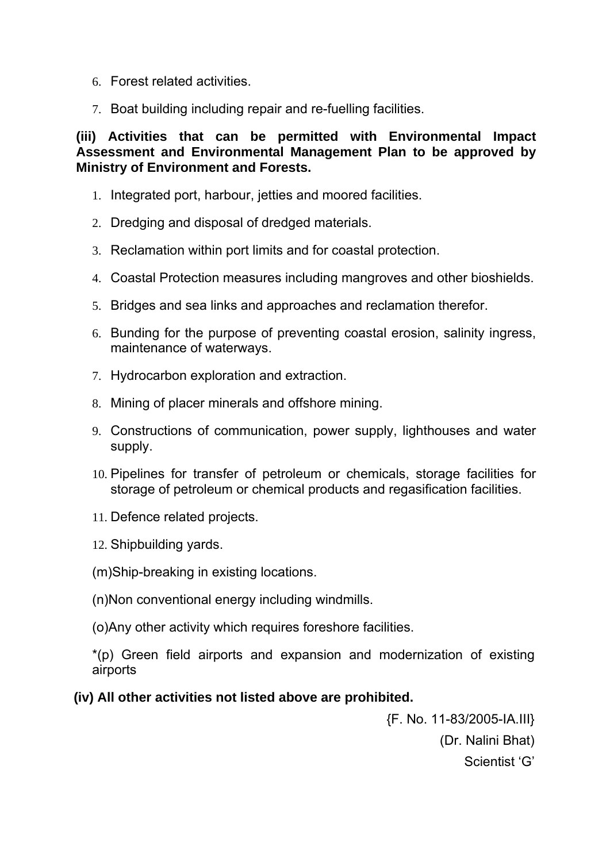- 6. Forest related activities.
- 7. Boat building including repair and re-fuelling facilities.

**(iii) Activities that can be permitted with Environmental Impact Assessment and Environmental Management Plan to be approved by Ministry of Environment and Forests.**

- 1. Integrated port, harbour, jetties and moored facilities.
- 2. Dredging and disposal of dredged materials.
- 3. Reclamation within port limits and for coastal protection.
- 4. Coastal Protection measures including mangroves and other bioshields.
- 5. Bridges and sea links and approaches and reclamation therefor.
- 6. Bunding for the purpose of preventing coastal erosion, salinity ingress, maintenance of waterways.
- 7. Hydrocarbon exploration and extraction.
- 8. Mining of placer minerals and offshore mining.
- 9. Constructions of communication, power supply, lighthouses and water supply.
- 10. Pipelines for transfer of petroleum or chemicals, storage facilities for storage of petroleum or chemical products and regasification facilities.
- 11. Defence related projects.
- 12. Shipbuilding yards.
- (m)Ship-breaking in existing locations.
- (n)Non conventional energy including windmills.
- (o)Any other activity which requires foreshore facilities.

\*(p) Green field airports and expansion and modernization of existing airports

## **(iv) All other activities not listed above are prohibited.**

{F. No. 11-83/2005-IA.III} (Dr. Nalini Bhat) Scientist 'G'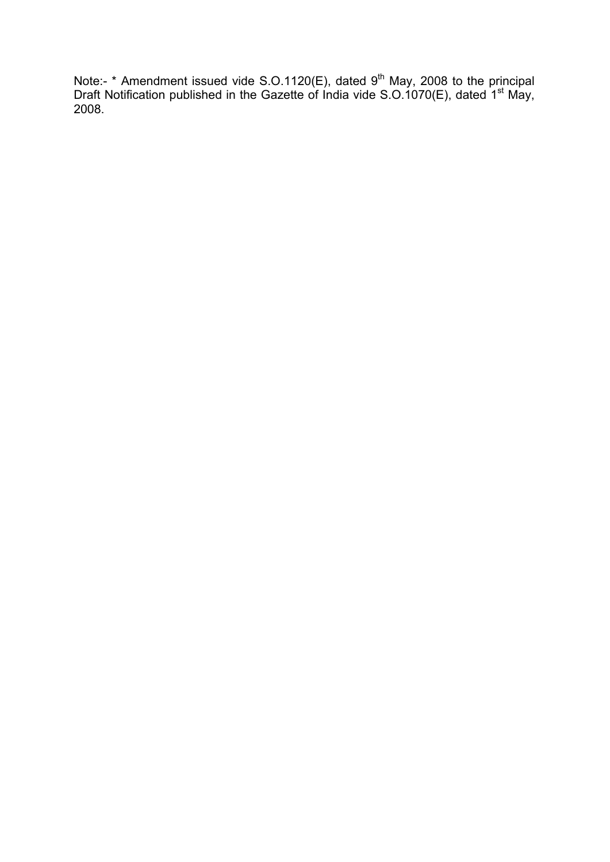Note:-  $*$  Amendment issued vide S.O.1120(E), dated 9<sup>th</sup> May, 2008 to the principal Draft Notification published in the Gazette of India vide S.O.1070(E), dated 1<sup>st</sup> May, 2008.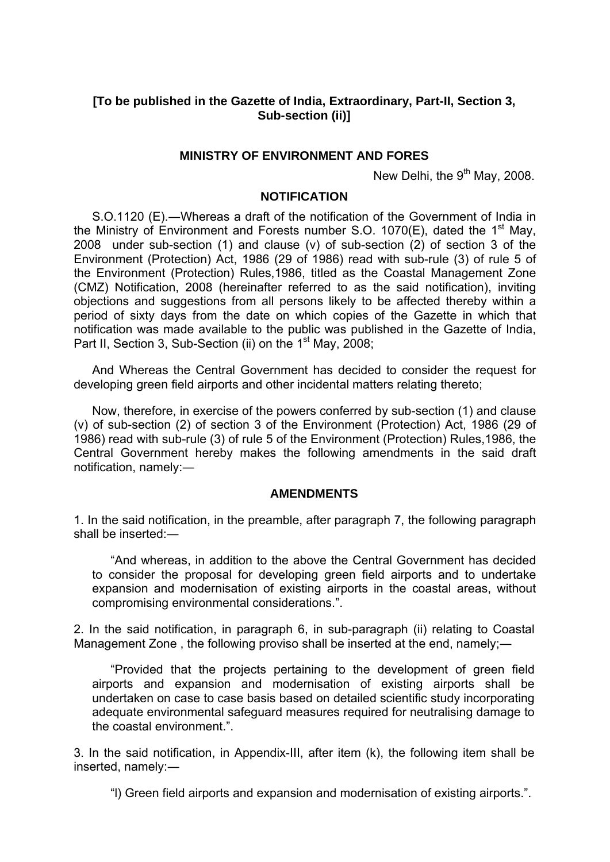### **[To be published in the Gazette of India, Extraordinary, Part-II, Section 3, Sub-section (ii)]**

### **MINISTRY OF ENVIRONMENT AND FORES**

New Delhi, the  $9<sup>th</sup>$  May, 2008.

#### **NOTIFICATION**

S.O.1120 (E).―Whereas a draft of the notification of the Government of India in the Ministry of Environment and Forests number S.O. 1070(E), dated the 1<sup>st</sup> May, 2008 under sub-section (1) and clause (v) of sub-section (2) of section 3 of the Environment (Protection) Act, 1986 (29 of 1986) read with sub-rule (3) of rule 5 of the Environment (Protection) Rules,1986, titled as the Coastal Management Zone (CMZ) Notification, 2008 (hereinafter referred to as the said notification), inviting objections and suggestions from all persons likely to be affected thereby within a period of sixty days from the date on which copies of the Gazette in which that notification was made available to the public was published in the Gazette of India, Part II, Section 3, Sub-Section (ii) on the 1<sup>st</sup> May, 2008;

And Whereas the Central Government has decided to consider the request for developing green field airports and other incidental matters relating thereto;

Now, therefore, in exercise of the powers conferred by sub-section (1) and clause (v) of sub-section (2) of section 3 of the Environment (Protection) Act, 1986 (29 of 1986) read with sub-rule (3) of rule 5 of the Environment (Protection) Rules,1986, the Central Government hereby makes the following amendments in the said draft notification, namely:―

#### **AMENDMENTS**

1. In the said notification, in the preamble, after paragraph 7, the following paragraph shall be inserted:

"And whereas, in addition to the above the Central Government has decided to consider the proposal for developing green field airports and to undertake expansion and modernisation of existing airports in the coastal areas, without compromising environmental considerations.".

2. In the said notification, in paragraph 6, in sub-paragraph (ii) relating to Coastal Management Zone, the following proviso shall be inserted at the end, namely;—

"Provided that the projects pertaining to the development of green field airports and expansion and modernisation of existing airports shall be undertaken on case to case basis based on detailed scientific study incorporating adequate environmental safeguard measures required for neutralising damage to the coastal environment.".

3. In the said notification, in Appendix-III, after item (k), the following item shall be inserted, namely:―

"l) Green field airports and expansion and modernisation of existing airports.".